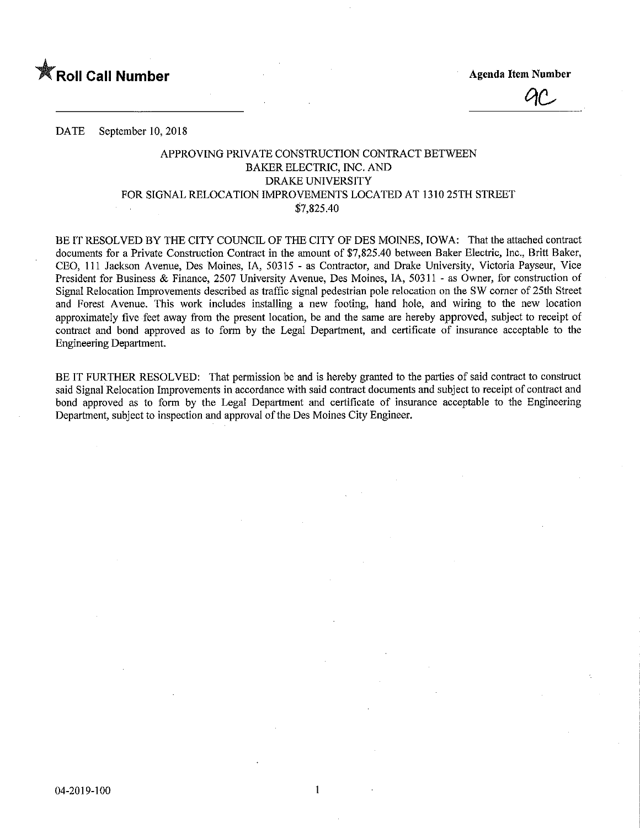

**Agenda Item Number** 

DATE September 10, 2018

## APPROVING PRIVATE CONSTRUCTION CONTRACT BETWEEN BAKER ELECTRIC, INC. AND DRAKE UNIVERSITY FOR SIGNAL RELOCATION IMPROVEMENTS LOCATED AT 1310 25TH STREET \$7,825.40

BE IT RESOLVED BY THE CITY COUNCIL OF THE CITY OF DES MOINES, IOWA: That the attached contract documents for a Private Construction Contract in the amount of \$7,825.40 between Baker Electric, Inc., Britt Baker, CEO, 111 Jackson Avenue, Des Moines, IA, 50315 - as Contractor, and Drake University, Victoria Payseur, Vice President for Business & Finance, 2507 University Avenue, Des Moines, IA, 50311 - as Owner, for construction of Signal Relocation Improvements described as traffic signal pedestrian pole relocation on the SW corner of 25th Street and Forest Avenue. This work includes insfallmg a new footing, hand hole, and wiring to the new location approximately five feet away from the present location, be and the same are hereby approved, subject to receipt of contract and bond approved as to form by the Legal Department, and certificate of msurance acceptable to the Engineering Department.

BE IT FURTHER RESOLVED: That permission be and is hereby granted to the parties of said contract to construct said Signal Relocation Improvements in accordance with said contract documents and subject to receipt of contract and bond approved as to form by the Legal Department and certificate of insurance acceptable to the Engineering Department, subject to inspection and approval of the Des Moines City Engineer.

 $\mathbf{1}$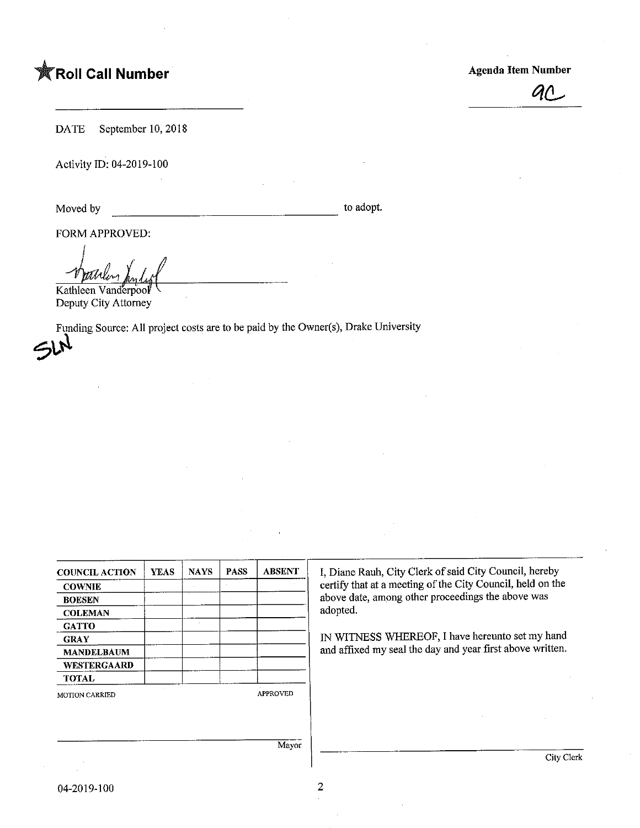## **The Soli Call Number Agents Contained Agents Agents Agents Agents Agents Agents Agents Agents Agents Agents Agents Agents Agents Agents Agents Agents Agents Agents Agents Agents Agents Agents Agents Agents Agents Agents A**



City Clerk

DATE September 10, 2018

Activity ID: 04-2019-100

Moved by to adopt.

FORM APPROVED:

Kathleen Vanderpool Deputy City Attorney

 $\mathcal{P}^{\text{Fun}}$ Funding Source: All project costs are to be paid by the Owner(s), Drake University

| <b>COUNCIL ACTION</b> | <b>YEAS</b> | <b>NAYS</b> | <b>PASS</b> | <b>ABSENT</b>   | I, Diane Rauh, City Clerk of said City Council, hereby<br>certify that at a meeting of the City Council, held on the<br>above date, among other proceedings the above was<br>adopted. |  |  |
|-----------------------|-------------|-------------|-------------|-----------------|---------------------------------------------------------------------------------------------------------------------------------------------------------------------------------------|--|--|
| <b>COWNIE</b>         |             |             |             |                 |                                                                                                                                                                                       |  |  |
| <b>BOESEN</b>         |             |             |             |                 |                                                                                                                                                                                       |  |  |
| <b>COLEMAN</b>        |             |             |             |                 |                                                                                                                                                                                       |  |  |
| <b>GATTO</b>          |             |             |             |                 |                                                                                                                                                                                       |  |  |
| <b>GRAY</b>           |             |             |             |                 | IN WITNESS WHEREOF, I have hereunto set my hand                                                                                                                                       |  |  |
| <b>MANDELBAUM</b>     |             |             |             |                 | and affixed my seal the day and year first above written.                                                                                                                             |  |  |
| WESTERGAARD           |             |             |             |                 |                                                                                                                                                                                       |  |  |
| <b>TOTAL</b>          |             |             |             |                 |                                                                                                                                                                                       |  |  |
| <b>MOTION CARRIED</b> |             |             |             | <b>APPROVED</b> |                                                                                                                                                                                       |  |  |
|                       |             |             |             |                 |                                                                                                                                                                                       |  |  |
|                       |             |             |             | Mayor           |                                                                                                                                                                                       |  |  |
|                       |             |             |             |                 |                                                                                                                                                                                       |  |  |

 $\overline{2}$